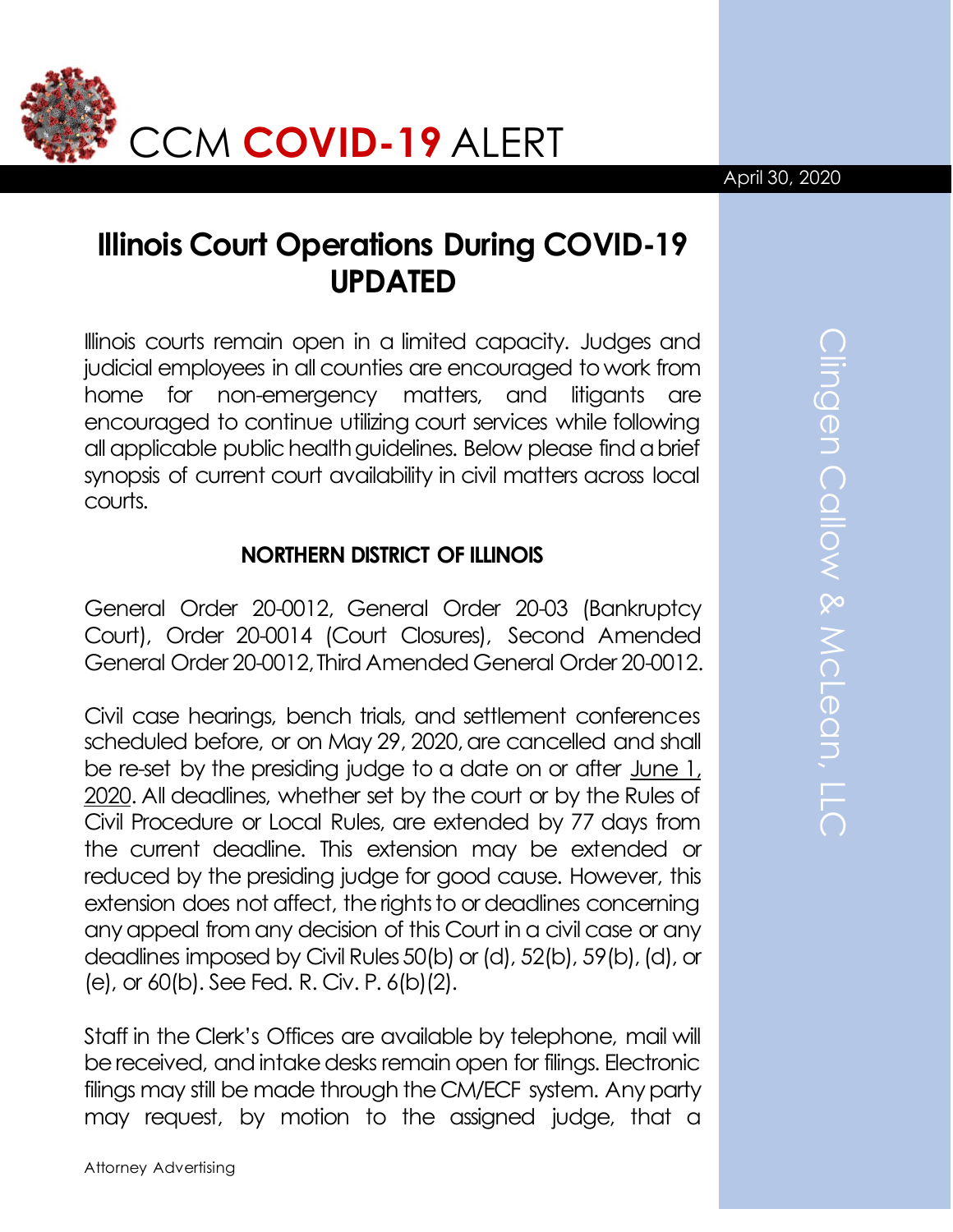

# **Illinois Court Operations During COVID-19 UPDATED**

Illinois courts remain open in a limited capacity. Judges and judicial employees in all counties are encouraged to work from home for non-emergency matters, and litigants are encouraged to continue utilizing court services while following all applicable public health guidelines. Below please find a brief synopsis of current court availability in civil matters across local courts.

### **NORTHERN DISTRICT OF ILLINOIS**

General Order 20-0012, General Order 20-03 (Bankruptcy Court), Order 20-0014 (Court Closures), Second Amended General Order 20-0012, Third Amended General Order 20-0012.

Civil case hearings, bench trials, and settlement conferences scheduled before, or on May 29, 2020, are cancelled and shall be re-set by the presiding judge to a date on or after June 1, 2020. All deadlines, whether set by the court or by the Rules of Civil Procedure or Local Rules, are extended by 77 days from the current deadline. This extension may be extended or reduced by the presiding judge for good cause. However, this extension does not affect, the rights to or deadlines concerning any appeal from any decision of this Court in a civil case or any deadlines imposed by Civil Rules 50(b) or (d), 52(b), 59(b), (d), or (e), or 60(b). See Fed. R. Civ. P. 6(b)(2).

Staff in the Clerk's Offices are available by telephone, mail will be received, and intake desks remain open for filings. Electronic filings may still be made through the CM/ECF system. Any party may request, by motion to the assigned judge, that a April 30, 2020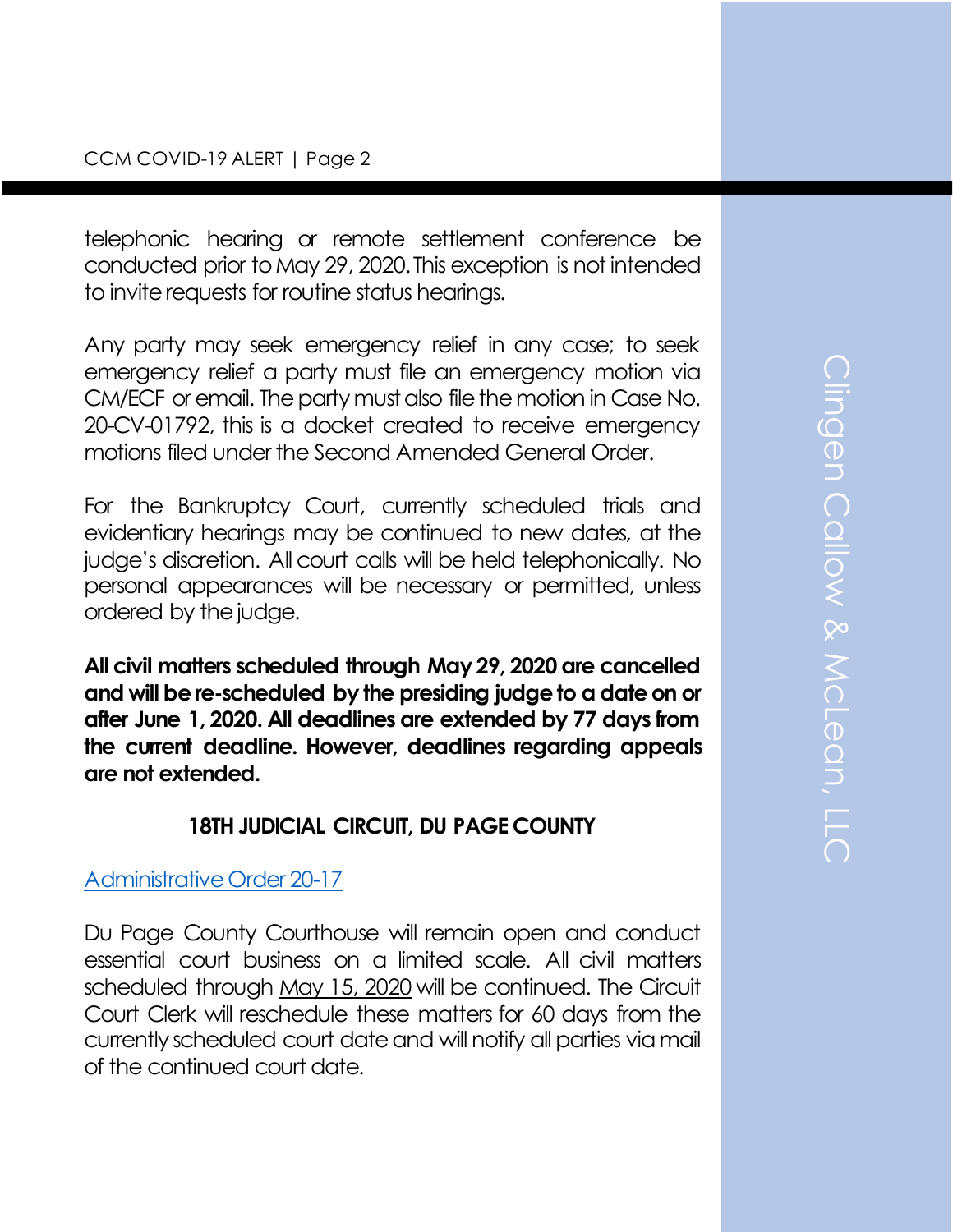telephonic hearing or remote settlement conference be conducted prior to May 29, 2020. This exception is not intended to invite requests for routine status hearings.

Any party may seek emergency relief in any case; to seek emergency relief a party must file an emergency motion via CM/ECF or email. The party must also file the motion in Case No. 20-CV-01792, this is a docket created to receive emergency motions filed under the Second Amended General Order.

For the Bankruptcy Court, currently scheduled trials and evidentiary hearings may be continued to new dates, at the judge's discretion. All court calls will be held telephonically. No personal appearances will be necessary or permitted, unless ordered by the judge.

**All civil matters scheduled through May 29, 2020 are cancelled and will be re-scheduled by the presiding judge to a date on or after June 1, 2020. All deadlines are extended by 77 days from the current deadline. However, deadlines regarding appeals are not extended.** 

#### **18TH JUDICIAL CIRCUIT, DU PAGE COUNTY**

#### [Administrative Order 20-17](https://courts.illinois.gov/Administrative/covid/040720-18Circ_AO.pdf)

Du Page County Courthouse will remain open and conduct essential court business on a limited scale. All civil matters scheduled through May 15, 2020 will be continued. The Circuit Court Clerk will reschedule these matters for 60 days from the currently scheduled court date and will notify all parties via mail of the continued court date.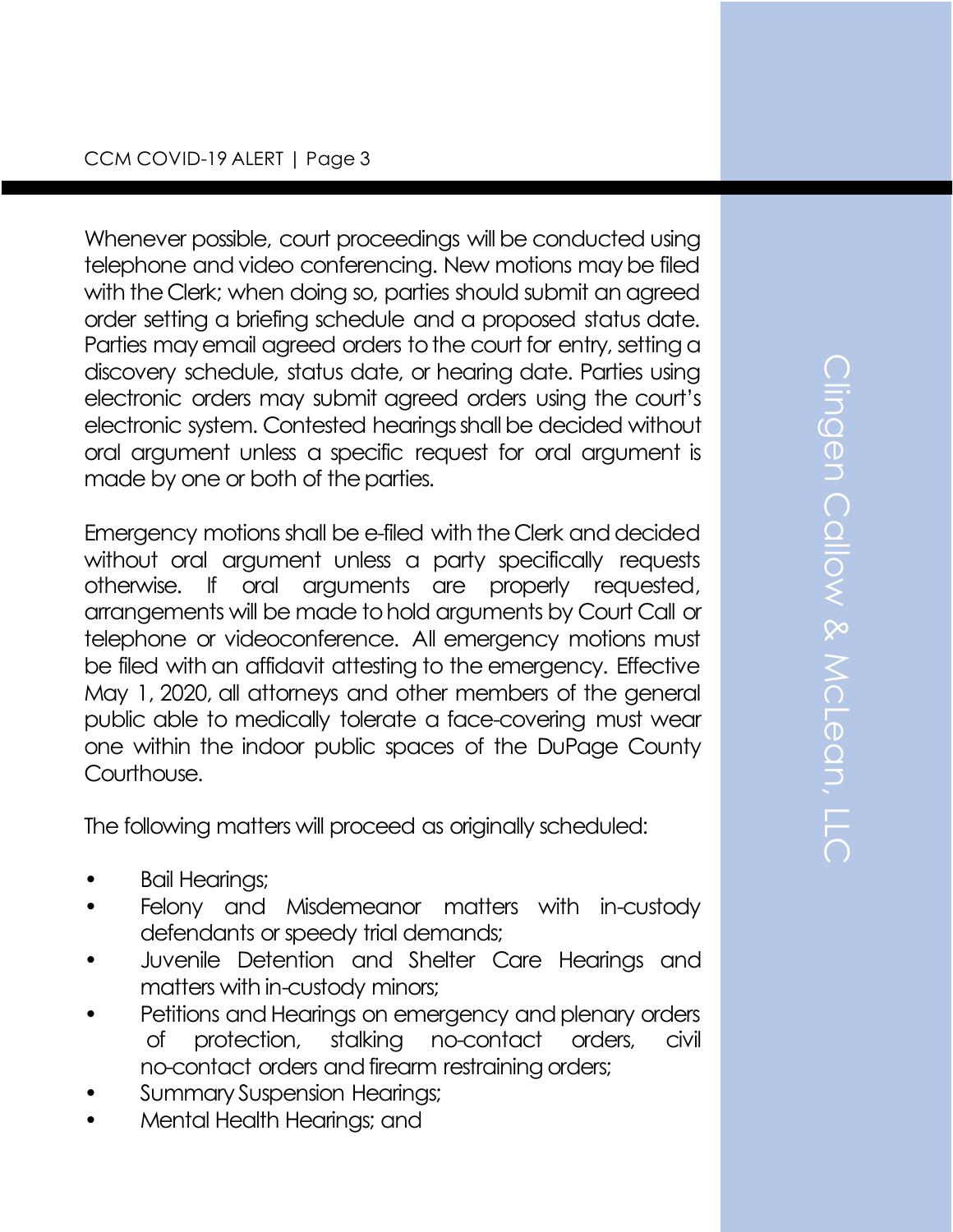Whenever possible, court proceedings will be conducted using telephone and video conferencing. New motions may be filed with the Clerk; when doing so, parties should submit an agreed order setting a briefing schedule and a proposed status date. Parties may email agreed orders to the court for entry, setting a discovery schedule, status date, or hearing date. Parties using electronic orders may submit agreed orders using the court's electronic system. Contested hearings shall be decided without oral argument unless a specific request for oral argument is made by one or both of the parties.

Emergency motions shall be e-filed with the Clerk and decided without oral argument unless a party specifically requests otherwise. If oral arguments are properly requested, arrangements will be made to hold arguments by Court Call or telephone or videoconference. All emergency motions must be filed with an affidavit attesting to the emergency. Effective May 1, 2020, all attorneys and other members of the general public able to medically tolerate a face-covering must wear one within the indoor public spaces of the DuPage County Courthouse.

The following matters will proceed as originally scheduled:

- Bail Hearings;
- Felony and Misdemeanor matters with in-custody defendants or speedy trial demands;
- Juvenile Detention and Shelter Care Hearings and matters with in-custody minors;
- Petitions and Hearings on emergency and plenary orders of protection, stalking no-contact orders, civil no-contact orders and firearm restraining orders;
- Summary Suspension Hearings;
- Mental Health Hearings; and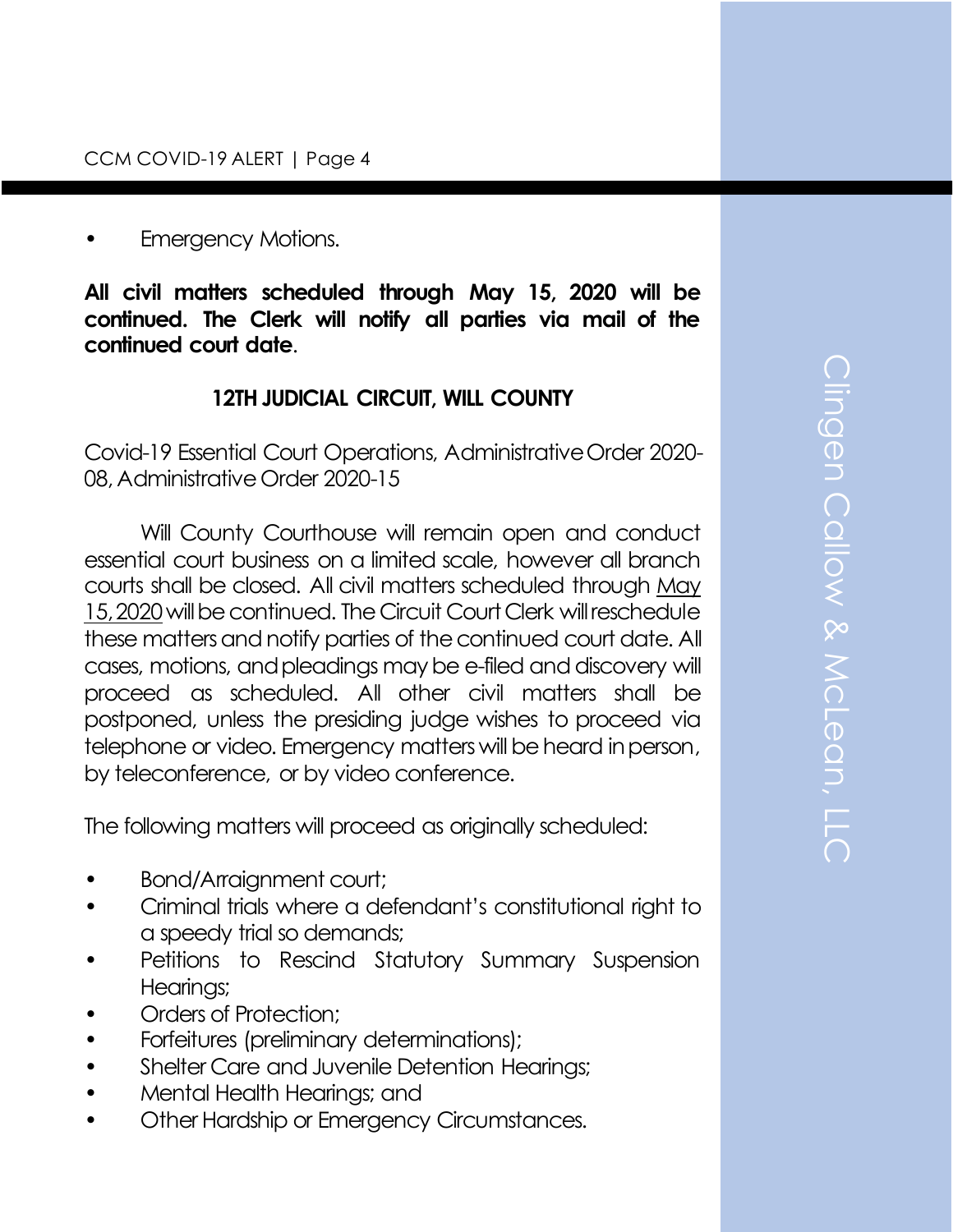#### Emergency Motions.

**All civil matters scheduled through May 15, 2020 will be continued. The Clerk will notify all parties via mail of the continued court date**.

### **12TH JUDICIAL CIRCUIT, WILL COUNTY**

Covid-19 Essential Court Operations, Administrative Order 2020- 08, Administrative Order 2020-15

Will County Courthouse will remain open and conduct essential court business on a limited scale, however all branch courts shall be closed. All civil matters scheduled through May 15, 2020will be continued. The Circuit Court Clerk will reschedule these matters and notify parties of the continued court date. All cases, motions, and pleadings may be e-filed and discovery will proceed as scheduled. All other civil matters shall be postponed, unless the presiding judge wishes to proceed via telephone or video. Emergency matters will be heard in person, by teleconference, or by video conference.

The following matters will proceed as originally scheduled:

- Bond/Arraignment court;
- Criminal trials where a defendant's constitutional right to a speedy trial so demands;
- Petitions to Rescind Statutory Summary Suspension Hearings;
- Orders of Protection:
- Forfeitures (preliminary determinations);
- Shelter Care and Juvenile Detention Hearings;
- Mental Health Hearings; and
- Other Hardship or Emergency Circumstances.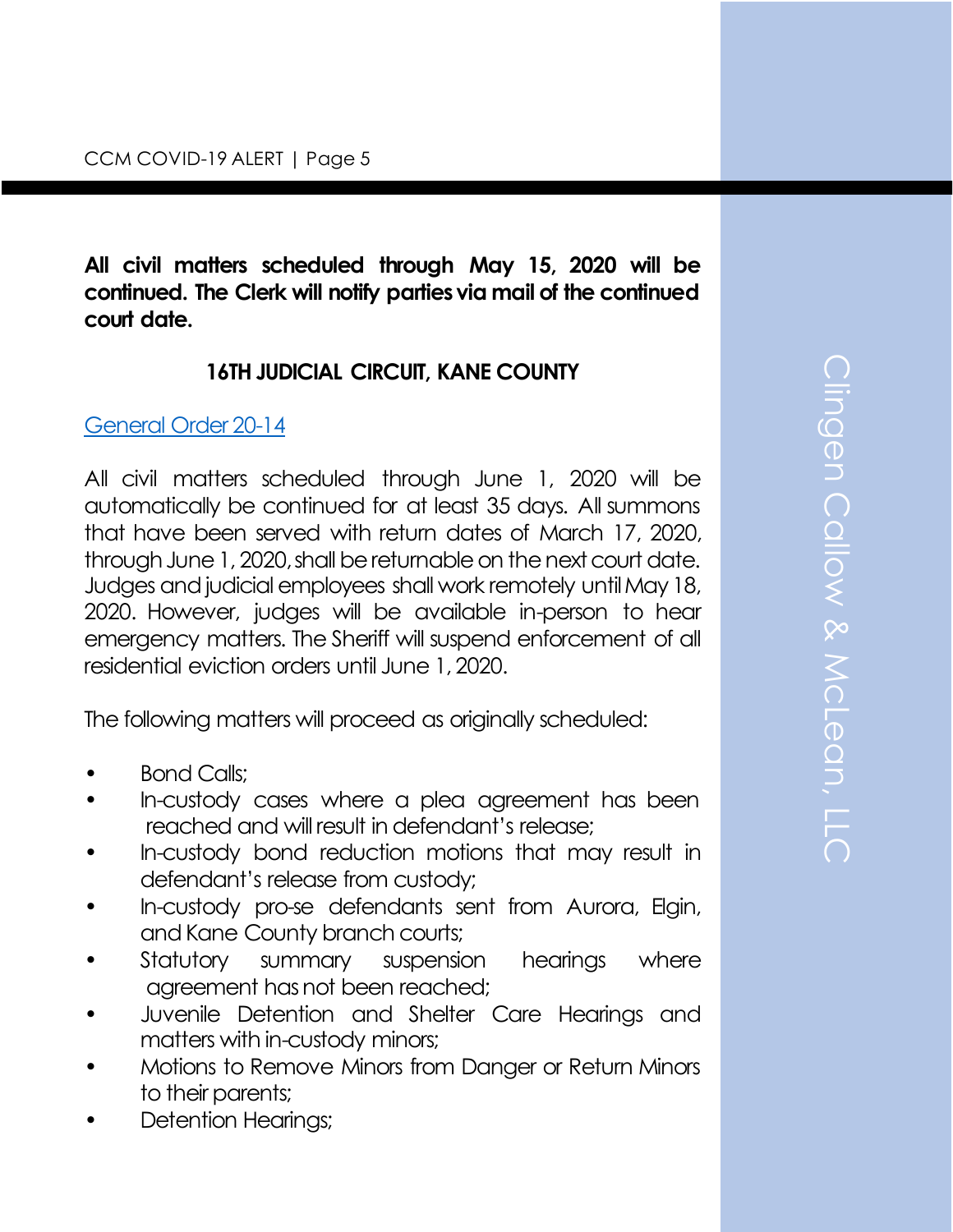**All civil matters scheduled through May 15, 2020 will be continued. The Clerk will notify parties via mail of the continued court date.**

# **16TH JUDICIAL CIRCUIT, KANE COUNTY**

#### [General Order 20-14](https://courts.illinois.gov/Administrative/covid/040620-16Circ_AO.pdf)

All civil matters scheduled through June 1, 2020 will be automatically be continued for at least 35 days. All summons that have been served with return dates of March 17, 2020, through June 1, 2020, shall be returnable on the next court date. Judges and judicial employees shall work remotely until May 18, 2020. However, judges will be available in-person to hear emergency matters. The Sheriff will suspend enforcement of all residential eviction orders until June 1, 2020.

The following matters will proceed as originally scheduled:

- Bond Calls;
- In-custody cases where a plea agreement has been reached and will result in defendant's release;
- In-custody bond reduction motions that may result in defendant's release from custody;
- In-custody pro-se defendants sent from Aurora, Elgin, and Kane County branch courts;
- Statutory summary suspension hearings where agreement has not been reached;
- Juvenile Detention and Shelter Care Hearings and matters with in-custody minors;
- Motions to Remove Minors from Danger or Return Minors to their parents;
- Detention Hearings;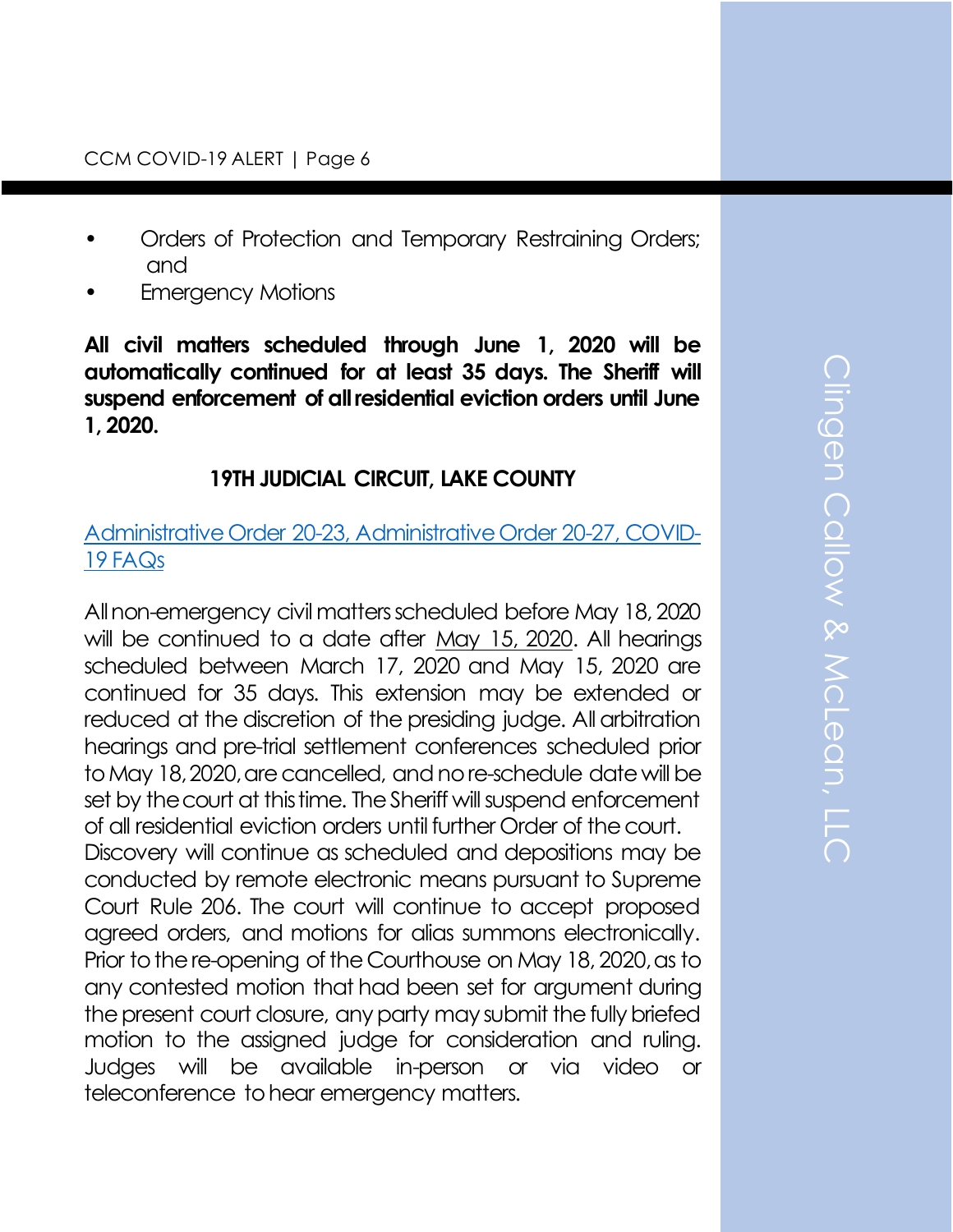- Orders of Protection and Temporary Restraining Orders; and
- **Emergency Motions**

**All civil matters scheduled through June 1, 2020 will be automatically continued for at least 35 days. The Sheriff will suspend enforcement of all residential eviction orders until June 1, 2020.**

# **19TH JUDICIAL CIRCUIT, LAKE COUNTY**

## [Administrative Order 20-23, Administrative Order 20-27, COVID-](https://19thcircuitcourt.state.il.us/DocumentCenter/View/2783/AO-20-23-Amended-COVID19-Essential-Functions-Final)[19 FAQs](https://19thcircuitcourt.state.il.us/DocumentCenter/View/2783/AO-20-23-Amended-COVID19-Essential-Functions-Final)

All non-emergency civil matters scheduled before May 18, 2020 will be continued to a date after May 15, 2020. All hearings scheduled between March 17, 2020 and May 15, 2020 are continued for 35 days. This extension may be extended or reduced at the discretion of the presiding judge. All arbitration hearings and pre-trial settlement conferences scheduled prior to May 18, 2020, are cancelled, and no re-schedule date will be set by the court at this time. The Sheriff will suspend enforcement of all residential eviction orders until further Order of the court. Discovery will continue as scheduled and depositions may be conducted by remote electronic means pursuant to Supreme Court Rule 206. The court will continue to accept proposed agreed orders, and motions for alias summons electronically. Prior to the re-opening of the Courthouse on May 18, 2020, as to any contested motion that had been set for argument during the present court closure, any party may submit the fully briefed motion to the assigned judge for consideration and ruling. Judges will be available in-person or via video or teleconference to hear emergency matters.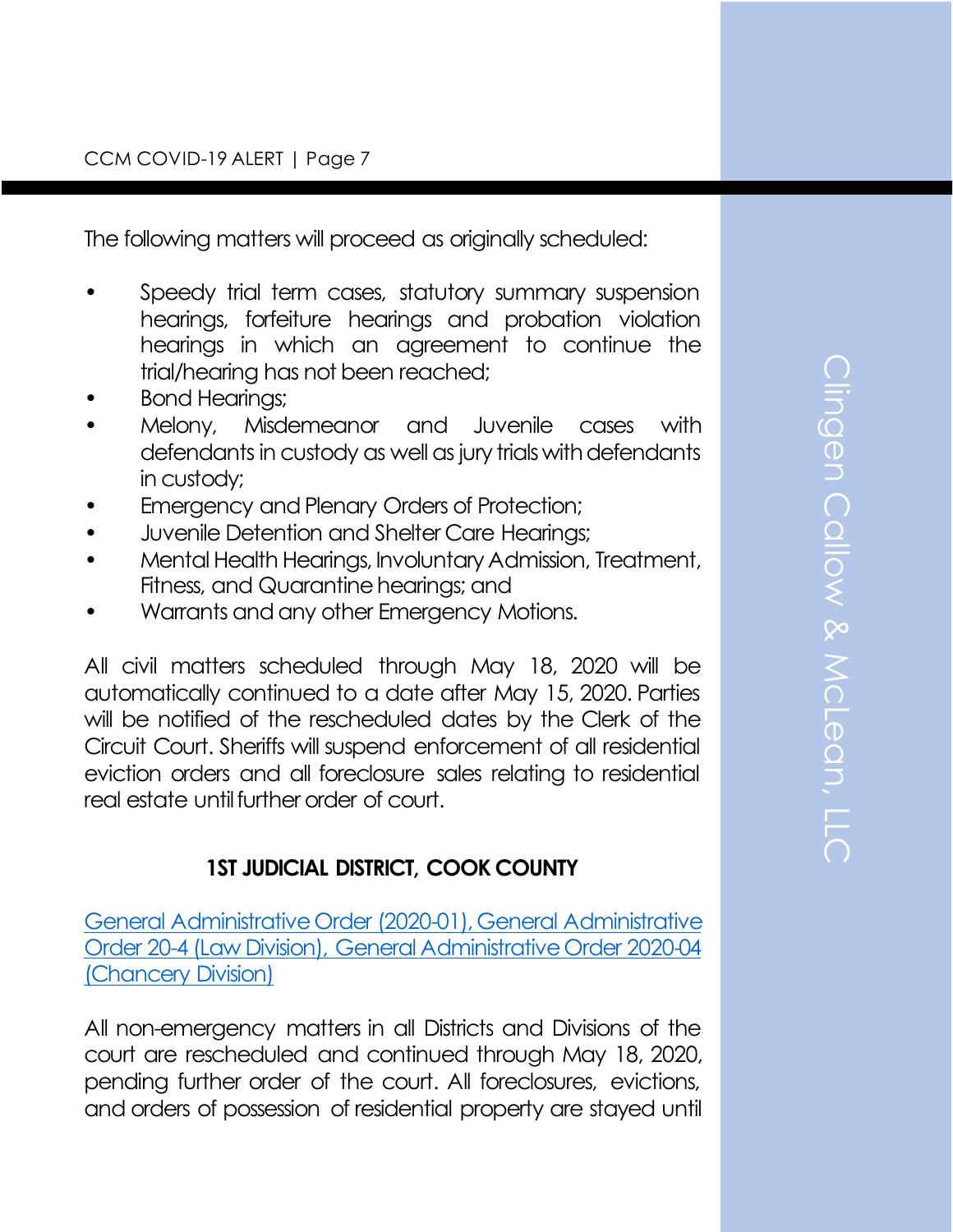The following matters will proceed as originally scheduled:

- Speedy trial term cases, statutory summary suspension hearings, forfeiture hearings and probation violation hearings in which an agreement to continue the trial/hearing has not been reached;
- Bond Hearings;
- Melony, Misdemeanor and Juvenile cases with defendants in custody as well as jury trials with defendants in custody;
- Emergency and Plenary Orders of Protection;
- Juvenile Detention and Shelter Care Hearings;
- Mental Health Hearings, Involuntary Admission, Treatment, Fitness, and Quarantine hearings; and
- Warrants and any other Emergency Motions.

All civil matters scheduled through May 18, 2020 will be automatically continued to a date after May 15, 2020. Parties will be notified of the rescheduled dates by the Clerk of the Circuit Court. Sheriffs will suspend enforcement of all residential eviction orders and all foreclosure sales relating to residential real estate until further order of court.

# **1ST JUDICIAL DISTRICT, COOK COUNTY**

[General Administrative Order \(2020-01\), General Administrative](http://www.cookcountycourt.org/Portals/0/Order%203-30-20_1.pdf?ver=2020-03-30-193058-523)  [Order 20-4 \(Law Division\), General Administrative Order 2020-04](http://www.cookcountycourt.org/Portals/0/Order%203-30-20_1.pdf?ver=2020-03-30-193058-523)  [\(Chancery Division\)](http://www.cookcountycourt.org/Portals/0/Order%203-30-20_1.pdf?ver=2020-03-30-193058-523)

All non-emergency matters in all Districts and Divisions of the court are rescheduled and continued through May 18, 2020, pending further order of the court. All foreclosures, evictions, and orders of possession of residential property are stayed until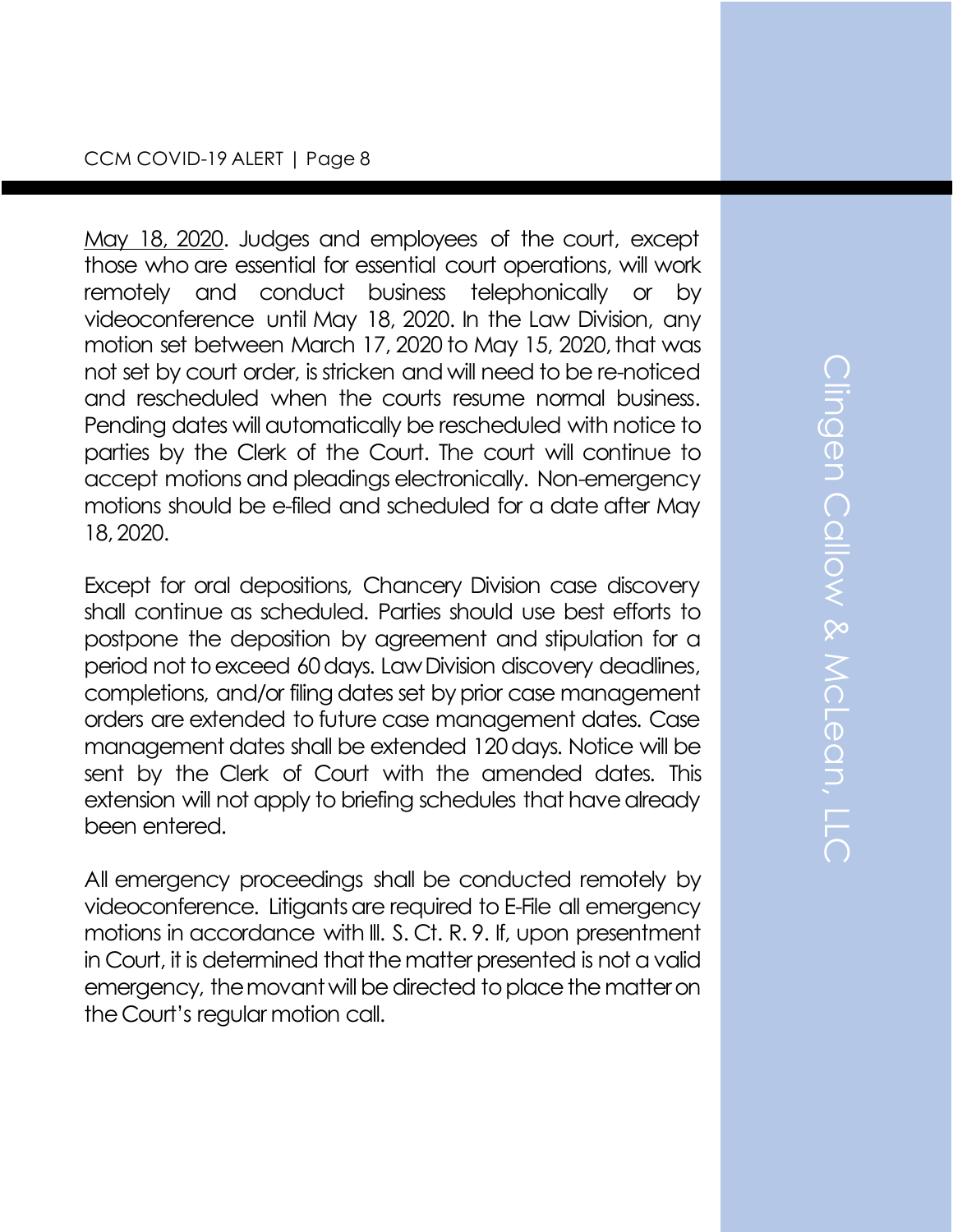#### CCM COVID-19 ALERT | Page 8

May 18, 2020. Judges and employees of the court, except those who are essential for essential court operations, will work remotely and conduct business telephonically or by videoconference until May 18, 2020. In the Law Division, any motion set between March 17, 2020 to May 15, 2020, that was not set by court order, is stricken and will need to be re-noticed and rescheduled when the courts resume normal business. Pending dates will automatically be rescheduled with notice to parties by the Clerk of the Court. The court will continue to accept motions and pleadings electronically. Non-emergency motions should be e-filed and scheduled for a date after May 18, 2020.

Except for oral depositions, Chancery Division case discovery shall continue as scheduled. Parties should use best efforts to postpone the deposition by agreement and stipulation for a period not to exceed 60 days. Law Division discovery deadlines, completions, and/or filing dates set by prior case management orders are extended to future case management dates. Case management dates shall be extended 120 days. Notice will be sent by the Clerk of Court with the amended dates. This extension will not apply to briefing schedules that have already been entered.

All emergency proceedings shall be conducted remotely by videoconference. Litigants are required to E-File all emergency motions in accordance with Ill. S. Ct. R. 9. If, upon presentment in Court, it is determined that the matter presented is not a valid emergency, the movant will be directed to place the matter on the Court's regular motion call.